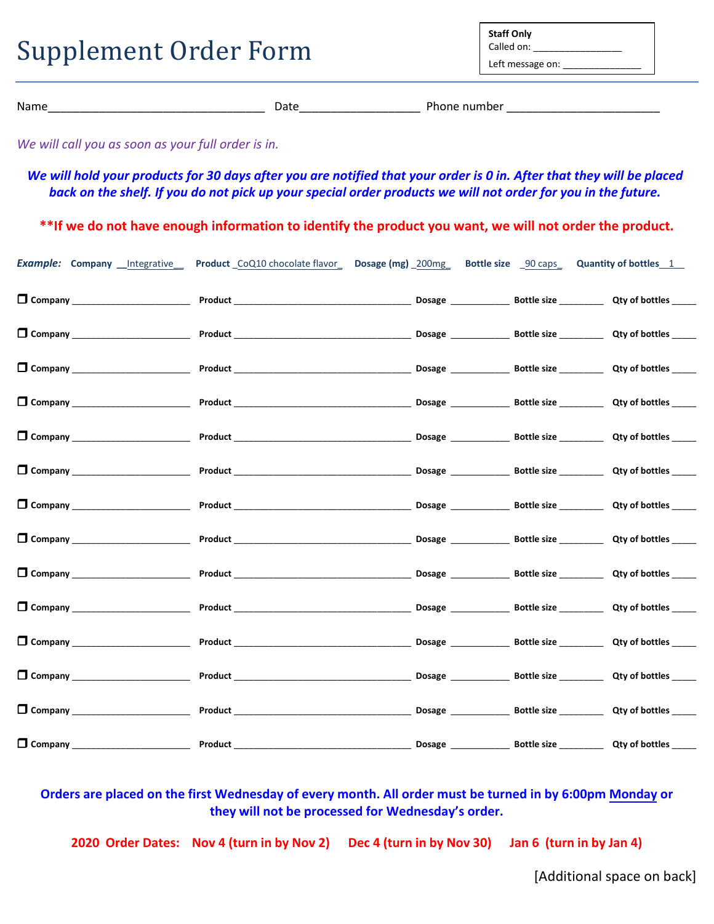| <b>Supplement Order Form</b> |  | <b>Staff Only</b><br>Called on:<br>Left message on: |  |
|------------------------------|--|-----------------------------------------------------|--|
| Date<br>Name                 |  | Phone number                                        |  |

*We will call you as soon as your full order is in.* 

*We will hold your products for 30 days after you are notified that your order is 0 in. After that they will be placed back on the shelf. If you do not pick up your special order products we will not order for you in the future.* 

**\*\*If we do not have enough information to identify the product you want, we will not order the product.**

| <b>Example: Company _Integrative_</b> | Product_CoQ10 chocolate flavor_ Dosage (mg) _200mg_ Bottle size _90 caps_ Quantity of bottles_1_ |  |  |
|---------------------------------------|--------------------------------------------------------------------------------------------------|--|--|
|                                       |                                                                                                  |  |  |
|                                       |                                                                                                  |  |  |
|                                       |                                                                                                  |  |  |
|                                       |                                                                                                  |  |  |
|                                       |                                                                                                  |  |  |
|                                       |                                                                                                  |  |  |
|                                       |                                                                                                  |  |  |
|                                       |                                                                                                  |  |  |
|                                       |                                                                                                  |  |  |
|                                       |                                                                                                  |  |  |
|                                       |                                                                                                  |  |  |
|                                       |                                                                                                  |  |  |
|                                       |                                                                                                  |  |  |
|                                       |                                                                                                  |  |  |

**Orders are placed on the first Wednesday of every month. All order must be turned in by 6:00pm Monday or they will not be processed for Wednesday's order.** 

**2020 Order Dates: Nov 4 (turn in by Nov 2) Dec 4 (turn in by Nov 30) Jan 6 (turn in by Jan 4)**

[Additional space on back]